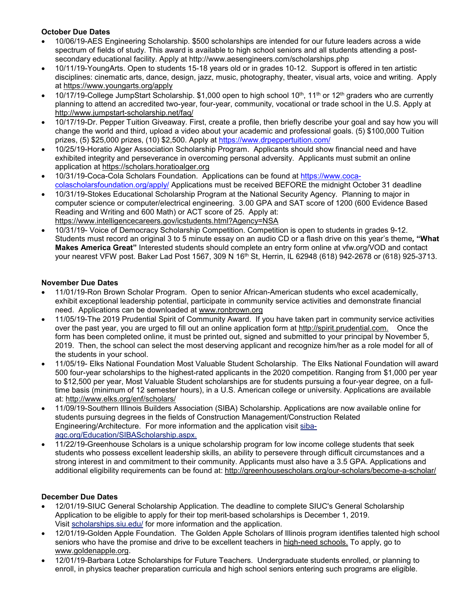### **October Due Dates**

- 10/06/19-AES Engineering Scholarship. \$500 scholarships are intended for our future leaders across a wide spectrum of fields of study. This award is available to high school seniors and all students attending a postsecondary educational facility. Apply at http://www.aesengineers.com/scholarships.php
- 10/11/19-YoungArts. Open to students 15-18 years old or in grades 10-12. Support is offered in ten artistic disciplines: cinematic arts, dance, design, jazz, music, photography, theater, visual arts, voice and writing. Apply at https://www.youngarts.org/apply
- 10/17/19-College JumpStart Scholarship. \$1,000 open to high school 10<sup>th</sup>, 11<sup>th</sup> or 12<sup>th</sup> graders who are currently planning to attend an accredited two-year, four-year, community, vocational or trade school in the U.S. Apply at http://www.jumpstart-scholarship.net/faq/
- 10/17/19-Dr. Pepper Tuition Giveaway. First, create a profile, then briefly describe your goal and say how you will change the world and third, upload a video about your academic and professional goals. (5) \$100,000 Tuition prizes, (5) \$25,000 prizes, (10) \$2,500. Apply at https://www.drpeppertuition.com/
- 10/25/19-Horatio Alger Association Scholarship Program. Applicants should show financial need and have exhibited integrity and perseverance in overcoming personal adversity. Applicants must submit an online application at https://scholars.horatioalger.org
- 10/31/19-Coca-Cola Scholars Foundation. Applications can be found at https://www.cocacolascholarsfoundation.org/apply/ Applications must be received BEFORE the midnight October 31 deadline
- 10/31/19-Stokes Educational Scholarship Program at the National Security Agency. Planning to major in computer science or computer/electrical engineering. 3.00 GPA and SAT score of 1200 (600 Evidence Based Reading and Writing and 600 Math) or ACT score of 25. Apply at: https://www.intelligencecareers.gov/icstudents.html?Agency=NSA
- 10/31/19- Voice of Democracy Scholarship Competition. Competition is open to students in grades 9-12. Students must record an original 3 to 5 minute essay on an audio CD or a flash drive on this year's theme*,* **"What Makes America Great"** Interested students should complete an entry form online at vfw.org/VOD and contact your nearest VFW post. Baker Lad Post 1567, 309 N 16<sup>th</sup> St, Herrin, IL 62948 (618) 942-2678 or (618) 925-3713.

#### **November Due Dates**

- 11/01/19-Ron Brown Scholar Program. Open to senior African-American students who excel academically, exhibit exceptional leadership potential, participate in community service activities and demonstrate financial need. Applications can be downloaded at www.ronbrown.org
- 11/05/19-The 2019 Prudential Spirit of Community Award. If you have taken part in community service activities over the past year, you are urged to fill out an online application form at http://spirit.prudential.com. Once the form has been completed online, it must be printed out, signed and submitted to your principal by November 5, 2019. Then, the school can select the most deserving applicant and recognize him/her as a role model for all of the students in your school.
- 11/05/19- Elks National Foundation Most Valuable Student Scholarship. The Elks National Foundation will award 500 four-year scholarships to the highest-rated applicants in the 2020 competition. Ranging from \$1,000 per year to \$12,500 per year, Most Valuable Student scholarships are for students pursuing a four-year degree, on a fulltime basis (minimum of 12 semester hours), in a U.S. American college or university. Applications are available at: http://www.elks.org/enf/scholars/
- 11/09/19-Southern Illinois Builders Association (SIBA) Scholarship. Applications are now available online for students pursuing degrees in the fields of Construction Management/Construction Related Engineering/Architecture. For more information and the application visit sibaagc.org/Education/SIBAScholarship.aspx.
- 11/22/19-Greenhouse Scholars is a unique scholarship program for low income college students that seek students who possess excellent leadership skills, an ability to persevere through difficult circumstances and a strong interest in and commitment to their community. Applicants must also have a 3.5 GPA. Applications and additional eligibility requirements can be found at: http://greenhousescholars.org/our-scholars/become-a-scholar/

#### **December Due Dates**

- 12/01/19-SIUC General Scholarship Application. The deadline to complete SIUC's General Scholarship Application to be eligible to apply for their top merit-based scholarships is December 1, 2019. Visit scholarships.siu.edu/ for more information and the application.
- 12/01/19-Golden Apple Foundation. The Golden Apple Scholars of Illinois program identifies talented high school seniors who have the promise and drive to be excellent teachers in high-need schools. To apply, go to www.goldenapple.org.
- 12/01/19-Barbara Lotze Scholarships for Future Teachers. Undergraduate students enrolled, or planning to enroll, in physics teacher preparation curricula and high school seniors entering such programs are eligible.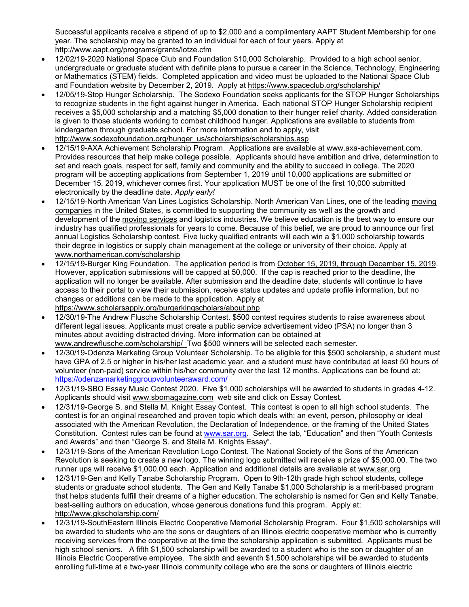Successful applicants receive a stipend of up to \$2,000 and a complimentary AAPT Student Membership for one year. The scholarship may be granted to an individual for each of four years. Apply at http://www.aapt.org/programs/grants/lotze.cfm

- 12/02/19-2020 National Space Club and Foundation \$10,000 Scholarship. Provided to a high school senior, undergraduate or graduate student with definite plans to pursue a career in the Science, Technology, Engineering or Mathematics (STEM) fields. Completed application and video must be uploaded to the National Space Club and Foundation website by December 2, 2019. Apply at https://www.spaceclub.org/scholarship/
- 12/05/19-Stop Hunger Scholarship. The Sodexo Foundation seeks applicants for the STOP Hunger Scholarships to recognize students in the fight against hunger in America. Each national STOP Hunger Scholarship recipient receives a \$5,000 scholarship and a matching \$5,000 donation to their hunger relief charity. Added consideration is given to those students working to combat childhood hunger. Applications are available to students from kindergarten through graduate school. For more information and to apply, visit http://www.sodexofoundation.org/hunger\_us/scholarships/scholarships.asp
- 12/15/19-AXA Achievement Scholarship Program. Applications are available at www.axa-achievement.com. Provides resources that help make college possible. Applicants should have ambition and drive, determination to set and reach goals, respect for self, family and community and the ability to succeed in college. The 2020 program will be accepting applications from September 1, 2019 until 10,000 applications are submitted or December 15, 2019, whichever comes first. Your application MUST be one of the first 10,000 submitted electronically by the deadline date. *Apply early!*
- 12/15/19-North American Van Lines Logistics Scholarship. North American Van Lines, one of the leading moving companies in the United States, is committed to supporting the community as well as the growth and development of the moving services and logistics industries. We believe education is the best way to ensure our industry has qualified professionals for years to come. Because of this belief, we are proud to announce our first annual Logistics Scholarship contest. Five lucky qualified entrants will each win a \$1,000 scholarship towards their degree in logistics or supply chain management at the college or university of their choice. Apply at www.northamerican.com/scholarship
- 12/15/19-Burger King Foundation. The application period is from October 15, 2019, through December 15, 2019. However, application submissions will be capped at 50,000. If the cap is reached prior to the deadline, the application will no longer be available. After submission and the deadline date, students will continue to have access to their portal to view their submission, receive status updates and update profile information, but no changes or additions can be made to the application. Apply at https://www.scholarsapply.org/burgerkingscholars/about.php
- 12/30/19-The Andrew Flusche Scholarship Contest. \$500 contest requires students to raise awareness about different legal issues. Applicants must create a public service advertisement video (PSA) no longer than 3 minutes about avoiding distracted driving. More information can be obtained at www.andrewflusche.com/scholarship/ Two \$500 winners will be selected each semester.
- 12/30/19-Odenza Marketing Group Volunteer Scholarship. To be eligible for this \$500 scholarship, a student must have GPA of 2.5 or higher in his/her last academic year, and a student must have contributed at least 50 hours of volunteer (non-paid) service within his/her community over the last 12 months. Applications can be found at: https://odenzamarketinggroupvolunteeraward.com/
- 12/31/19-SBO Essay Music Contest 2020. Five \$1,000 scholarships will be awarded to students in grades 4-12. Applicants should visit www.sbomagazine.com web site and click on Essay Contest.
- 12/31/19-George S. and Stella M. Knight Essay Contest. This contest is open to all high school students. The contest is for an original researched and proven topic which deals with: an event, person, philosophy or ideal associated with the American Revolution, the Declaration of Independence, or the framing of the United States Constitution. Contest rules can be found at www.sar.org. Select the tab, "Education" and then "Youth Contests and Awards" and then "George S. and Stella M. Knights Essay".
- 12/31/19-Sons of the American Revolution Logo Contest. The National Society of the Sons of the American Revolution is seeking to create a new logo. The winning logo submitted will receive a prize of \$5,000.00. The two runner ups will receive \$1,000.00 each. Application and additional details are available at www.sar.org
- 12/31/19-Gen and Kelly Tanabe Scholarship Program. Open to 9th-12th grade high school students, college students or graduate school students. The Gen and Kelly Tanabe \$1,000 Scholarship is a merit-based program that helps students fulfill their dreams of a higher education. The scholarship is named for Gen and Kelly Tanabe, best-selling authors on education, whose generous donations fund this program. Apply at: http://www.gkscholarship.com/
- 12/31/19-SouthEastern Illinois Electric Cooperative Memorial Scholarship Program. Four \$1,500 scholarships will be awarded to students who are the sons or daughters of an Illinois electric cooperative member who is currently receiving services from the cooperative at the time the scholarship application is submitted. Applicants must be high school seniors. A fifth \$1,500 scholarship will be awarded to a student who is the son or daughter of an Illinois Electric Cooperative employee. The sixth and seventh \$1,500 scholarships will be awarded to students enrolling full-time at a two-year Illinois community college who are the sons or daughters of Illinois electric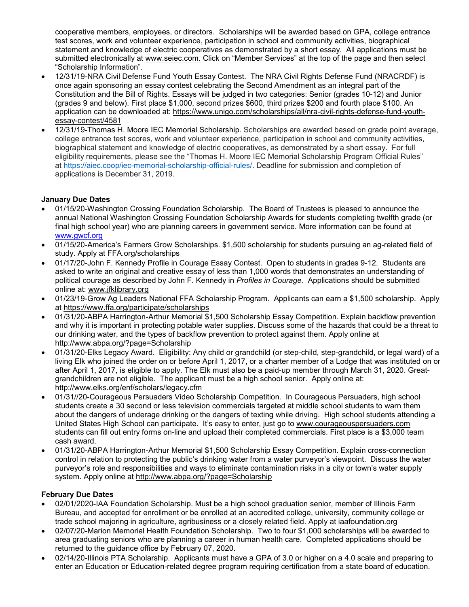cooperative members, employees, or directors. Scholarships will be awarded based on GPA, college entrance test scores, work and volunteer experience, participation in school and community activities, biographical statement and knowledge of electric cooperatives as demonstrated by a short essay. All applications must be submitted electronically at www.seiec.com. Click on "Member Services" at the top of the page and then select "Scholarship Information".

- 12/31/19-NRA Civil Defense Fund Youth Essay Contest. The NRA Civil Rights Defense Fund (NRACRDF) is once again sponsoring an essay contest celebrating the Second Amendment as an integral part of the Constitution and the Bill of Rights. Essays will be judged in two categories: Senior (grades 10-12) and Junior (grades 9 and below). First place \$1,000, second prizes \$600, third prizes \$200 and fourth place \$100. An application can be downloaded at: https://www.unigo.com/scholarships/all/nra-civil-rights-defense-fund-youthessay-contest/4581
- 12/31/19-Thomas H. Moore IEC Memorial Scholarship. Scholarships are awarded based on grade point average, college entrance test scores, work and volunteer experience, participation in school and community activities, biographical statement and knowledge of electric cooperatives, as demonstrated by a short essay. For full eligibility requirements, please see the "Thomas H. Moore IEC Memorial Scholarship Program Official Rules" at https://aiec.coop/iec-memorial-scholarship-official-rules/. Deadline for submission and completion of applications is December 31, 2019.

# **January Due Dates**

- 01/15/20-Washington Crossing Foundation Scholarship. The Board of Trustees is pleased to announce the annual National Washington Crossing Foundation Scholarship Awards for students completing twelfth grade (or final high school year) who are planning careers in government service. More information can be found at www.gwcf.org
- 01/15/20-America's Farmers Grow Scholarships. \$1,500 scholarship for students pursuing an ag-related field of study. Apply at FFA.org/scholarships
- 01/17/20-John F. Kennedy Profile in Courage Essay Contest. Open to students in grades 9-12. Students are asked to write an original and creative essay of less than 1,000 words that demonstrates an understanding of political courage as described by John F. Kennedy in *Profiles in Courage.* Applications should be submitted online at: www.jfklibrary.org
- 01/23/19-Grow Ag Leaders National FFA Scholarship Program. Applicants can earn a \$1,500 scholarship. Apply at https://www.ffa.org/participate/scholarships
- 01/31/20-ABPA Harrington-Arthur Memorial \$1,500 Scholarship Essay Competition. Explain backflow prevention and why it is important in protecting potable water supplies. Discuss some of the hazards that could be a threat to our drinking water, and the types of backflow prevention to protect against them. Apply online at http://www.abpa.org/?page=Scholarship
- 01/31/20-Elks Legacy Award. Eligibility: Any child or grandchild (or step-child, step-grandchild, or legal ward) of a living Elk who joined the order on or before April 1, 2017, or a charter member of a Lodge that was instituted on or after April 1, 2017, is eligible to apply. The Elk must also be a paid-up member through March 31, 2020. Greatgrandchildren are not eligible. The applicant must be a high school senior. Apply online at: http://www.elks.org/enf/scholars/legacy.cfm
- 01/31//20-Courageous Persuaders Video Scholarship Competition. In Courageous Persuaders, high school students create a 30 second or less television commercials targeted at middle school students to warn them about the dangers of underage drinking or the dangers of texting while driving. High school students attending a United States High School can participate. It's easy to enter, just go to www.courageouspersuaders.com students can fill out entry forms on-line and upload their completed commercials. First place is a \$3,000 team cash award.
- 01/31/20-ABPA Harrington-Arthur Memorial \$1,500 Scholarship Essay Competition. Explain cross-connection control in relation to protecting the public's drinking water from a water purveyor's viewpoint. Discuss the water purveyor's role and responsibilities and ways to eliminate contamination risks in a city or town's water supply system. Apply online at http://www.abpa.org/?page=Scholarship

#### **February Due Dates**

- 02/01/2020-IAA Foundation Scholarship. Must be a high school graduation senior, member of Illinois Farm Bureau, and accepted for enrollment or be enrolled at an accredited college, university, community college or trade school majoring in agriculture, agribusiness or a closely related field. Apply at iaafoundation.org
- 02/07/20-Marion Memorial Health Foundation Scholarship. Two to four \$1,000 scholarships will be awarded to area graduating seniors who are planning a career in human health care. Completed applications should be returned to the guidance office by February 07, 2020.
- 02/14/20-Illinois PTA Scholarship. Applicants must have a GPA of 3.0 or higher on a 4.0 scale and preparing to enter an Education or Education-related degree program requiring certification from a state board of education.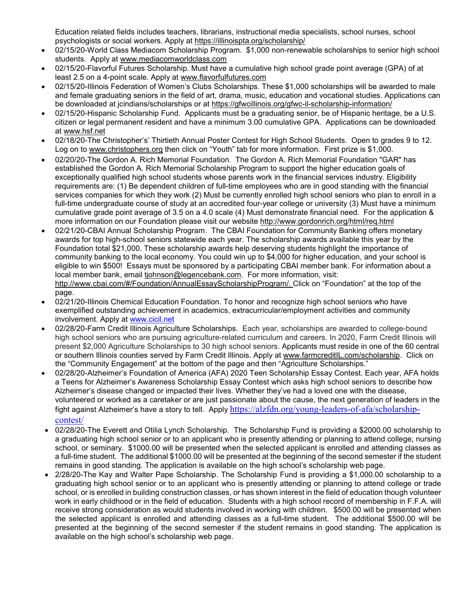Education related fields includes teachers, librarians, instructional media specialists, school nurses, school psychologists or social workers. Apply at https://illinoispta.org/scholarship/

- 02/15/20-World Class Mediacom Scholarship Program. \$1,000 non-renewable scholarships to senior high school students. Apply at www.mediacomworldclass.com
- 02/15/20-Flavorful Futures Scholarship. Must have a cumulative high school grade point average (GPA) of at least 2.5 on a 4-point scale. Apply at www.flavorfulfutures.com
- 02/15/20-Illinois Federation of Women's Clubs Scholarships. These \$1,000 scholarships will be awarded to male and female graduating seniors in the field of art, drama, music, education and vocational studies. Applications can be downloaded at jcindians/scholarships or at https://gfwcillinois.org/gfwc-il-scholarship-information/
- 02/15/20-Hispanic Scholarship Fund. Applicants must be a graduating senior, be of Hispanic heritage, be a U.S. citizen or legal permanent resident and have a minimum 3.00 cumulative GPA. Applications can be downloaded at www.hsf.net
- 02/18/20-The Christopher's' Thirtieth Annual Poster Contest for High School Students. Open to grades 9 to 12. Log on to www.christophers.org then click on "Youth" tab for more information. First prize is \$1,000.
- 02/20/20-The Gordon A. Rich Memorial Foundation. The Gordon A. Rich Memorial Foundation "GAR" has established the Gordon A. Rich Memorial Scholarship Program to support the higher education goals of exceptionally qualified high school students whose parents work in the financial services industry. Eligibility requirements are: (1) Be dependent children of full-time employees who are in good standing with the financial services companies for which they work (2) Must be currently enrolled high school seniors who plan to enroll in a full-time undergraduate course of study at an accredited four-year college or university (3) Must have a minimum cumulative grade point average of 3.5 on a 4.0 scale (4) Must demonstrate financial need. For the application & more information on our Foundation please visit our website http://www.gordonrich.org/html/req.html
- 02/21/20-CBAI Annual Scholarship Program. The CBAI Foundation for Community Banking offers monetary awards for top high-school seniors statewide each year. The scholarship awards available this year by the Foundation total \$21,000. These scholarship awards help deserving students highlight the importance of community banking to the local economy. You could win up to \$4,000 for higher education, and your school is eligible to win \$500! Essays must be sponsored by a participating CBAI member bank. For information about a local member bank, email tjohnson@legencebank.com. For more information, visit: http://www.cbai.com/#/Foundation/AnnualEssayScholarshipProgram/. Click on "Foundation" at the top of the page.
- 02/21/20-Illinois Chemical Education Foundation. To honor and recognize high school seniors who have exemplified outstanding achievement in academics, extracurricular/employment activities and community involvement. Apply at www.cicil.net
- 02/28/20-Farm Credit Illinois Agriculture Scholarships. Each year, scholarships are awarded to college-bound high school seniors who are pursuing agriculture-related curriculum and careers. In 2020, Farm Credit Illinois will present \$2,000 Agriculture Scholarships to 30 high school seniors. Applicants must reside in one of the 60 central or southern Illinois counties served by Farm Credit Illinois. Apply at www.farmcreditIL.com/scholarship. Click on the "Community Engagement" at the bottom of the page and then "Agriculture Scholarships."
- 02/28/20-Alzheimer's Foundation of America (AFA) 2020 Teen Scholarship Essay Contest. Each year, AFA holds a Teens for Alzheimer's Awareness Scholarship Essay Contest which asks high school seniors to describe how Alzheimer's disease changed or impacted their lives. Whether they've had a loved one with the disease, volunteered or worked as a caretaker or are just passionate about the cause, the next generation of leaders in the fight against Alzheimer's have a story to tell. Apply https://alzfdn.org/young-leaders-of-afa/scholarshipcontest/
- 02/28/20-The Everett and Otilia Lynch Scholarship. The Scholarship Fund is providing a \$2000.00 scholarship to a graduating high school senior or to an applicant who is presently attending or planning to attend college, nursing school, or seminary. \$1000.00 will be presented when the selected applicant is enrolled and attending classes as a full-time student. The additional \$1000.00 will be presented at the beginning of the second semester if the student remains in good standing. The application is available on the high school's scholarship web page.
- 2/28/20-The Kay and Walter Pape Scholarship. The Scholarship Fund is providing a \$1,000.00 scholarship to a graduating high school senior or to an applicant who is presently attending or planning to attend college or trade school, or is enrolled in building construction classes, or has shown interest in the field of education though volunteer work in early childhood or in the field of education. Students with a high school record of membership in F.F.A. will receive strong consideration as would students involved in working with children. \$500.00 will be presented when the selected applicant is enrolled and attending classes as a full-time student. The additional \$500.00 will be presented at the beginning of the second semester if the student remains in good standing. The application is available on the high school's scholarship web page.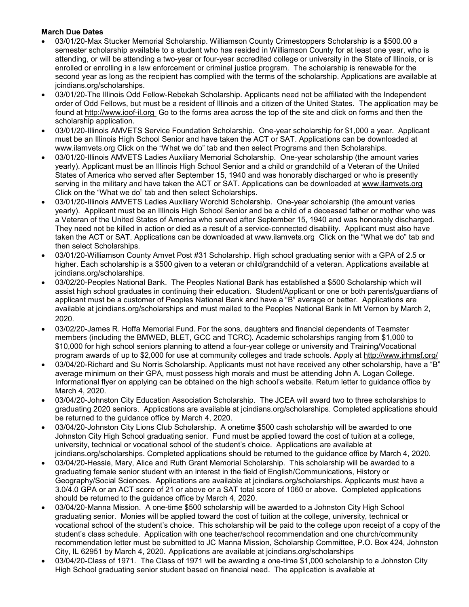### **March Due Dates**

- 03/01/20-Max Stucker Memorial Scholarship. Williamson County Crimestoppers Scholarship is a \$500.00 a semester scholarship available to a student who has resided in Williamson County for at least one year, who is attending, or will be attending a two-year or four-year accredited college or university in the State of Illinois, or is enrolled or enrolling in a law enforcement or criminal justice program. The scholarship is renewable for the second year as long as the recipient has complied with the terms of the scholarship. Applications are available at jcindians.org/scholarships.
- 03/01/20-The Illinois Odd Fellow-Rebekah Scholarship. Applicants need not be affiliated with the Independent order of Odd Fellows, but must be a resident of Illinois and a citizen of the United States. The application may be found at http://www.ioof-il.org Go to the forms area across the top of the site and click on forms and then the scholarship application.
- 03/01/20-Illinois AMVETS Service Foundation Scholarship. One-year scholarship for \$1,000 a year. Applicant must be an Illinois High School Senior and have taken the ACT or SAT. Applications can be downloaded at www.ilamvets.org Click on the "What we do" tab and then select Programs and then Scholarships.
- 03/01/20-Illinois AMVETS Ladies Auxiliary Memorial Scholarship. One-year scholarship (the amount varies yearly). Applicant must be an Illinois High School Senior and a child or grandchild of a Veteran of the United States of America who served after September 15, 1940 and was honorably discharged or who is presently serving in the military and have taken the ACT or SAT. Applications can be downloaded at www.ilamvets.org Click on the "What we do" tab and then select Scholarships.
- 03/01/20-Illinois AMVETS Ladies Auxiliary Worchid Scholarship. One-year scholarship (the amount varies yearly). Applicant must be an Illinois High School Senior and be a child of a deceased father or mother who was a Veteran of the United States of America who served after September 15, 1940 and was honorably discharged. They need not be killed in action or died as a result of a service-connected disability. Applicant must also have taken the ACT or SAT. Applications can be downloaded at www.ilamvets.org Click on the "What we do" tab and then select Scholarships.
- 03/01/20-Williamson County Amvet Post #31 Scholarship. High school graduating senior with a GPA of 2.5 or higher. Each scholarship is a \$500 given to a veteran or child/grandchild of a veteran. Applications available at jcindians.org/scholarships.
- 03/02/20-Peoples National Bank. The Peoples National Bank has established a \$500 Scholarship which will assist high school graduates in continuing their education. Student/Applicant or one or both parents/guardians of applicant must be a customer of Peoples National Bank and have a "B" average or better. Applications are available at jcindians.org/scholarships and must mailed to the Peoples National Bank in Mt Vernon by March 2, 2020.
- 03/02/20-James R. Hoffa Memorial Fund. For the sons, daughters and financial dependents of Teamster members (including the BMWED, BLET, GCC and TCRC). Academic scholarships ranging from \$1,000 to \$10,000 for high school seniors planning to attend a four-year college or university and Training/Vocational program awards of up to \$2,000 for use at community colleges and trade schools. Apply at http://www.jrhmsf.org/
- 03/04/20-Richard and Su Norris Scholarship. Applicants must not have received any other scholarship, have a "B" average minimum on their GPA, must possess high morals and must be attending John A. Logan College. Informational flyer on applying can be obtained on the high school's website. Return letter to guidance office by March 4, 2020.
- 03/04/20-Johnston City Education Association Scholarship. The JCEA will award two to three scholarships to graduating 2020 seniors. Applications are available at jcindians.org/scholarships. Completed applications should be returned to the guidance office by March 4, 2020.
- 03/04/20-Johnston City Lions Club Scholarship. A onetime \$500 cash scholarship will be awarded to one Johnston City High School graduating senior. Fund must be applied toward the cost of tuition at a college, university, technical or vocational school of the student's choice. Applications are available at jcindians.org/scholarships. Completed applications should be returned to the guidance office by March 4, 2020.
- 03/04/20-Hessie, Mary, Alice and Ruth Grant Memorial Scholarship. This scholarship will be awarded to a graduating female senior student with an interest in the field of English/Communications, History or Geography/Social Sciences. Applications are available at jcindians.org/scholarships. Applicants must have a 3.0/4.0 GPA or an ACT score of 21 or above or a SAT total score of 1060 or above. Completed applications should be returned to the guidance office by March 4, 2020.
- 03/04/20-Manna Mission. A one-time \$500 scholarship will be awarded to a Johnston City High School graduating senior. Monies will be applied toward the cost of tuition at the college, university, technical or vocational school of the student's choice. This scholarship will be paid to the college upon receipt of a copy of the student's class schedule. Application with one teacher/school recommendation and one church/community recommendation letter must be submitted to JC Manna Mission, Scholarship Committee, P.O. Box 424, Johnston City, IL 62951 by March 4, 2020. Applications are available at jcindians.org/scholarships
- 03/04/20-Class of 1971. The Class of 1971 will be awarding a one-time \$1,000 scholarship to a Johnston City High School graduating senior student based on financial need. The application is available at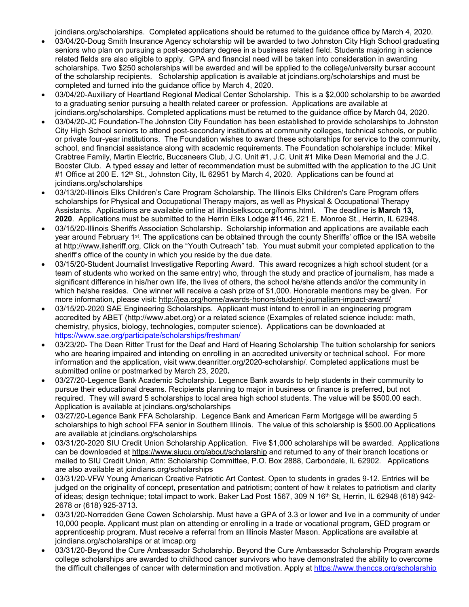jcindians.org/scholarships. Completed applications should be returned to the guidance office by March 4, 2020.

- 03/04/20-Doug Smith Insurance Agency scholarship will be awarded to two Johnston City High School graduating seniors who plan on pursuing a post-secondary degree in a business related field. Students majoring in science related fields are also eligible to apply. GPA and financial need will be taken into consideration in awarding scholarships. Two \$250 scholarships will be awarded and will be applied to the college/university bursar account of the scholarship recipients. Scholarship application is available at jcindians.org/scholarships and must be completed and turned into the guidance office by March 4, 2020.
- 03/04/20-Auxiliary of Heartland Regional Medical Center Scholarship. This is a \$2,000 scholarship to be awarded to a graduating senior pursuing a health related career or profession. Applications are available at jcindians.org/scholarships. Completed applications must be returned to the guidance office by March 04, 2020.
- 03/04/20-JC Foundation-The Johnston City Foundation has been established to provide scholarships to Johnston City High School seniors to attend post-secondary institutions at community colleges, technical schools, or public or private four-year institutions. The Foundation wishes to award these scholarships for service to the community, school, and financial assistance along with academic requirements. The Foundation scholarships include: Mikel Crabtree Family, Martin Electric, Buccaneers Club, J.C. Unit #1, J.C. Unit #1 Mike Dean Memorial and the J.C. Booster Club. A typed essay and letter of recommendation must be submitted with the application to the JC Unit #1 Office at 200 E. 12<sup>th</sup> St., Johnston City, IL 62951 by March 4, 2020. Applications can be found at jcindians.org/scholarships
- 03/13/20-Illinois Elks Children's Care Program Scholarship. The Illinois Elks Children's Care Program offers scholarships for Physical and Occupational Therapy majors, as well as Physical & Occupational Therapy Assistants. Applications are available online at illinoiselksccc.org/forms.html. The deadline is **March 13, 2020**. Applications must be submitted to the Herrin Elks Lodge #1146, 221 E. Monroe St., Herrin, IL 62948.
- 03/15/20-Illinois Sheriffs Association Scholarship. Scholarship information and applications are available each year around February 1st. The applications can be obtained through the county Sheriffs' office or the ISA website at http://www.ilsheriff.org, Click on the "Youth Outreach" tab. You must submit your completed application to the sheriff's office of the county in which you reside by the due date.
- 03/15/20-Student Journalist Investigative Reporting Award. This award recognizes a high school student (or a team of students who worked on the same entry) who, through the study and practice of journalism, has made a significant difference in his/her own life, the lives of others, the school he/she attends and/or the community in which he/she resides. One winner will receive a cash prize of \$1,000. Honorable mentions may be given. For more information, please visit: http://jea.org/home/awards-honors/student-journalism-impact-award/
- 03/15/20-2020 SAE Engineering Scholarships. Applicant must intend to enroll in an engineering program accredited by ABET (http://www.abet.org) or a related science (Examples of related science include: math, chemistry, physics, biology, technologies, computer science). Applications can be downloaded at https://www.sae.org/participate/scholarships/freshman/
- 03/23/20- The Dean Ritter Trust for the Deaf and Hard of Hearing Scholarship The tuition scholarship for seniors who are hearing impaired and intending on enrolling in an accredited university or technical school. For more information and the application, visit www.deanritter.org/2020-scholarship/. Completed applications must be submitted online or postmarked by March 23, 2020**.**
- 03/27/20-Legence Bank Academic Scholarship. Legence Bank awards to help students in their community to pursue their educational dreams. Recipients planning to major in business or finance is preferred, but not required. They will award 5 scholarships to local area high school students. The value will be \$500.00 each. Application is available at jcindians.org/scholarships
- 03/27/20-Legence Bank FFA Scholarship. Legence Bank and American Farm Mortgage will be awarding 5 scholarships to high school FFA senior in Southern Illinois. The value of this scholarship is \$500.00 Applications are available at jcindians.org/scholarships
- 03/31/20-2020 SIU Credit Union Scholarship Application. Five \$1,000 scholarships will be awarded. Applications can be downloaded at https://www.siucu.org/about/scholarship and returned to any of their branch locations or mailed to SIU Credit Union, Attn: Scholarship Committee, P.O. Box 2888, Carbondale, IL 62902. Applications are also available at jcindians.org/scholarships
- 03/31/20-VFW Young American Creative Patriotic Art Contest. Open to students in grades 9-12. Entries will be judged on the originality of concept, presentation and patriotism; content of how it relates to patriotism and clarity of ideas; design technique; total impact to work. Baker Lad Post 1567, 309 N 16<sup>th</sup> St, Herrin, IL 62948 (618) 942-2678 or (618) 925-3713.
- 03/31/20-Norredden Gene Cowen Scholarship. Must have a GPA of 3.3 or lower and live in a community of under 10,000 people. Applicant must plan on attending or enrolling in a trade or vocational program, GED program or apprenticeship program. Must receive a referral from an Illinois Master Mason. Applications are available at jcindians.org/scholarships or at imcap.org
- 03/31/20-Beyond the Cure Ambassador Scholarship. Beyond the Cure Ambassador Scholarship Program awards college scholarships are awarded to childhood cancer survivors who have demonstrated the ability to overcome the difficult challenges of cancer with determination and motivation. Apply at https://www.thenccs.org/scholarship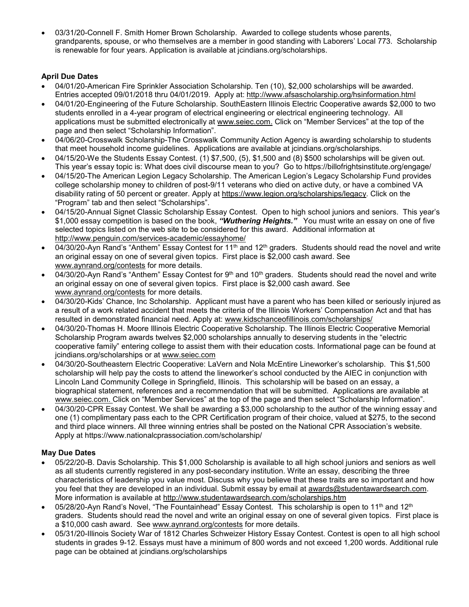03/31/20-Connell F. Smith Homer Brown Scholarship. Awarded to college students whose parents, grandparents, spouse, or who themselves are a member in good standing with Laborers' Local 773. Scholarship is renewable for four years. Application is available at jcindians.org/scholarships.

## **April Due Dates**

- 04/01/20-American Fire Sprinkler Association Scholarship. Ten (10), \$2,000 scholarships will be awarded. Entries accepted 09/01/2018 thru 04/01/2019. Apply at: http://www.afsascholarship.org/hsinformation.html
- 04/01/20-Engineering of the Future Scholarship. SouthEastern Illinois Electric Cooperative awards \$2,000 to two students enrolled in a 4-year program of electrical engineering or electrical engineering technology. All applications must be submitted electronically at www.seiec.com. Click on "Member Services" at the top of the page and then select "Scholarship Information".
- 04/06/20-Crosswalk Scholarship-The Crosswalk Community Action Agency is awarding scholarship to students that meet household income guidelines. Applications are available at jcindians.org/scholarships.
- 04/15/20-We the Students Essay Contest. (1) \$7,500, (5), \$1,500 and (8) \$500 scholarships will be given out. This year's essay topic is: What does civil discourse mean to you? Go to https://billofrightsinstitute.org/engage/
- 04/15/20-The American Legion Legacy Scholarship. The American Legion's Legacy Scholarship Fund provides college scholarship money to children of post-9/11 veterans who died on active duty, or have a combined VA disability rating of 50 percent or greater. Apply at https://www.legion.org/scholarships/legacy. Click on the "Program" tab and then select "Scholarships".
- 04/15/20-Annual Signet Classic Scholarship Essay Contest. Open to high school juniors and seniors. This year's \$1,000 essay competition is based on the book, *"Wuthering Heights."* You must write an essay on one of five selected topics listed on the web site to be considered for this award. Additional information at http://www.penguin.com/services-academic/essayhome/
- 04/30/20-Ayn Rand's "Anthem" Essay Contest for 11<sup>th</sup> and 12<sup>th</sup> graders. Students should read the novel and write an original essay on one of several given topics. First place is \$2,000 cash award. See www.aynrand.org/contests for more details.
- 04/30/20-Ayn Rand's "Anthem" Essay Contest for  $9<sup>th</sup>$  and  $10<sup>th</sup>$  graders. Students should read the novel and write an original essay on one of several given topics. First place is \$2,000 cash award. See www.aynrand.org/contests for more details.
- 04/30/20-Kids' Chance, Inc Scholarship. Applicant must have a parent who has been killed or seriously injured as a result of a work related accident that meets the criteria of the Illinois Workers' Compensation Act and that has resulted in demonstrated financial need. Apply at: www.kidschanceofillinois.com/scholarships/
- 04/30/20-Thomas H. Moore Illinois Electric Cooperative Scholarship. The Illinois Electric Cooperative Memorial Scholarship Program awards twelves \$2,000 scholarships annually to deserving students in the "electric cooperative family" entering college to assist them with their education costs. Informational page can be found at jcindians.org/scholarships or at www.seiec.com
- 04/30/20-Southeastern Electric Cooperative: LaVern and Nola McEntire Lineworker's scholarship. This \$1,500 scholarship will help pay the costs to attend the lineworker's school conducted by the AIEC in conjunction with Lincoln Land Community College in Springfield, Illinois. This scholarship will be based on an essay, a biographical statement, references and a recommendation that will be submitted. Applications are available at www.seiec.com. Click on "Member Services" at the top of the page and then select "Scholarship Information".
- 04/30/20-CPR Essay Contest. We shall be awarding a \$3,000 scholarship to the author of the winning essay and one (1) complimentary pass each to the CPR Certification program of their choice, valued at \$275, to the second and third place winners. All three winning entries shall be posted on the National CPR Association's website. Apply at https://www.nationalcprassociation.com/scholarship/

# **May Due Dates**

- 05/22/20-B. Davis Scholarship. This \$1,000 Scholarship is available to all high school juniors and seniors as well as all students currently registered in any post-secondary institution. Write an essay, describing the three characteristics of leadership you value most. Discuss why you believe that these traits are so important and how you feel that they are developed in an individual. Submit essay by email at awards@studentawardsearch.com. More information is available at http://www.studentawardsearch.com/scholarships.htm
- 05/28/20-Ayn Rand's Novel, "The Fountainhead" Essay Contest. This scholarship is open to 11<sup>th</sup> and 12<sup>th</sup> graders. Students should read the novel and write an original essay on one of several given topics. First place is a \$10,000 cash award. See www.aynrand.org/contests for more details.
- 05/31/20-Illinois Society War of 1812 Charles Schweizer History Essay Contest. Contest is open to all high school students in grades 9-12. Essays must have a minimum of 800 words and not exceed 1,200 words. Additional rule page can be obtained at jcindians.org/scholarships